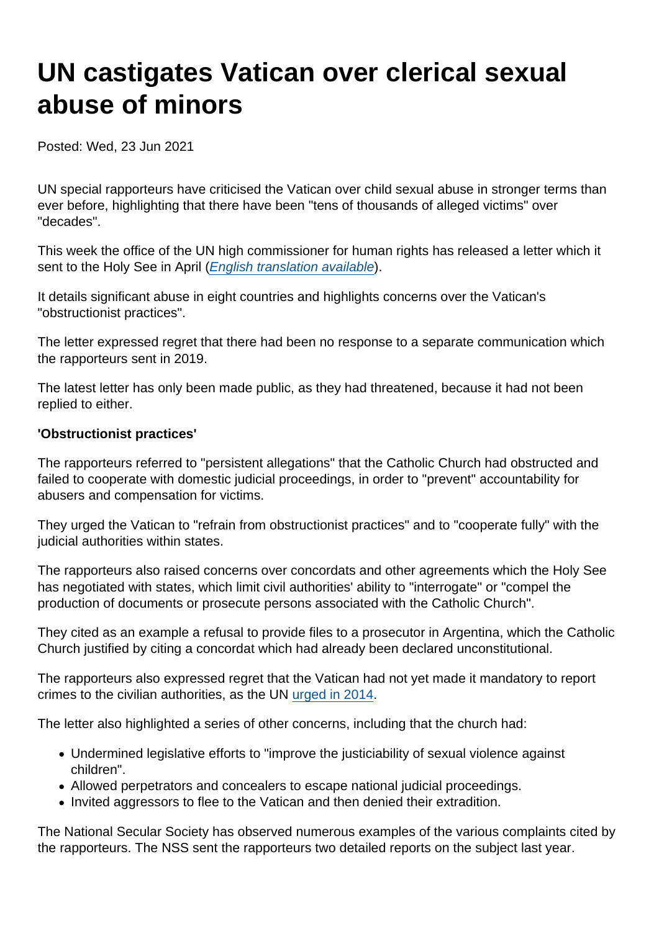# UN castigates Vatican over clerical sexual abuse of minors

Posted: Wed, 23 Jun 2021

UN special rapporteurs have criticised the Vatican over child sexual abuse in stronger terms than ever before, highlighting that there have been "tens of thousands of alleged victims" over "decades".

This week the office of the UN high commissioner for human rights has released a letter which it sent to the Holy See in April [\(English translation available](https://www.secularism.org.uk/uploads/un-rapporteurs-letter-to-the-vatican.pdf)).

It details significant abuse in eight countries and highlights concerns over the Vatican's "obstructionist practices".

The letter expressed regret that there had been no response to a separate communication which the rapporteurs sent in 2019.

The latest letter has only been made public, as they had threatened, because it had not been replied to either.

'Obstructionist practices'

The rapporteurs referred to "persistent allegations" that the Catholic Church had obstructed and failed to cooperate with domestic judicial proceedings, in order to "prevent" accountability for abusers and compensation for victims.

They urged the Vatican to "refrain from obstructionist practices" and to "cooperate fully" with the judicial authorities within states.

The rapporteurs also raised concerns over concordats and other agreements which the Holy See has negotiated with states, which limit civil authorities' ability to "interrogate" or "compel the production of documents or prosecute persons associated with the Catholic Church".

They cited as an example a refusal to provide files to a prosecutor in Argentina, which the Catholic Church justified by citing a concordat which had already been declared unconstitutional.

The rapporteurs also expressed regret that the Vatican had not yet made it mandatory to report crimes to the civilian authorities, as the UN [urged in 2014](https://www.secularism.org.uk/uploads/concluding-observations-holy-see-crc-annotated-by-nss.pdf).

The letter also highlighted a series of other concerns, including that the church had:

- Undermined legislative efforts to "improve the justiciability of sexual violence against children".
- Allowed perpetrators and concealers to escape national judicial proceedings.
- Invited aggressors to flee to the Vatican and then denied their extradition.

The National Secular Society has observed numerous examples of the various complaints cited by the rapporteurs. The NSS sent the rapporteurs two detailed reports on the subject last year.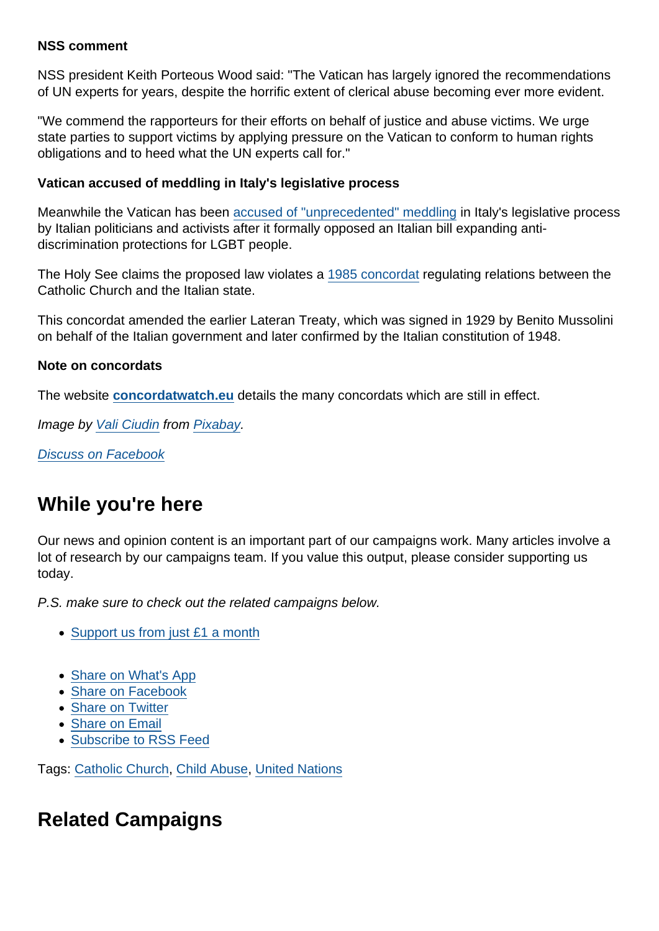#### NSS comment

NSS president Keith Porteous Wood said: "The Vatican has largely ignored the recommendations of UN experts for years, despite the horrific extent of clerical abuse becoming ever more evident.

"We commend the rapporteurs for their efforts on behalf of justice and abuse victims. We urge state parties to support victims by applying pressure on the Vatican to conform to human rights obligations and to heed what the UN experts call for."

Vatican accused of meddling in Italy's legislative process

Meanwhile the Vatican has been [accused of "unprecedented" meddling](https://www.sandiegouniontribune.com/news/nation-world/story/2021-06-22/activists-vatican-is-meddling-in-italys-lgbt-rights-law) in Italy's legislative process by Italian politicians and activists after it formally opposed an Italian bill expanding antidiscrimination protections for LGBT people.

The Holy See claims the proposed law violates a [1985 concordat](http://www.concordatwatch.eu/showtopic.php?kb_header_id=39221) regulating relations between the Catholic Church and the Italian state.

This concordat amended the earlier Lateran Treaty, which was signed in 1929 by Benito Mussolini on behalf of the Italian government and later confirmed by the Italian constitution of 1948.

Note on concordats

The website [concordatwatch.eu](http://www.concordatwatch.eu/) details the many concordats which are still in effect.

Image by [Vali Ciudin](https://pixabay.com/users/valy270-11653366/?utm_source=link-attribution&utm_medium=referral&utm_campaign=image&utm_content=4149278) from [Pixabay](https://pixabay.com/?utm_source=link-attribution&utm_medium=referral&utm_campaign=image&utm_content=4149278).

[Discuss on Facebook](https://www.facebook.com/NationalSecularSociety/posts/4095684393833214?__cft__[0]=AZXqSgkqhpH6tyt0eLPlpk3vhBcmkhQxZzVe6lAVy7R39hbdowfUeAezmH2k_AFP7mPnwnbG6bcaFpxBWvHd_DG2PnfVC4qZPtpxn9EhlGbd2SNCgHOqra9W1tMalNe8qhjIY0YpXtPVbbx_GjGAyHcOHC3V6ljD3aTa7B9OpXLLnQ&__tn__=,O,P-R)

### While you're here

Our news and opinion content is an important part of our campaigns work. Many articles involve a lot of research by our campaigns team. If you value this output, please consider supporting us today.

P.S. make sure to check out the related campaigns below.

- [Support us from just £1 a month](https://www.secularism.org.uk/donate.html)
- [Share on What's App](whatsapp://send?text=http://www.secularism.org.uk/news/2021/06/un-castigates-vatican-over-clerical-sexual-abuse-of-minors?format=pdf)
- [Share on Facebook](https://www.facebook.com/sharer/sharer.php?u=http://www.secularism.org.uk/news/2021/06/un-castigates-vatican-over-clerical-sexual-abuse-of-minors?format=pdf&t=UN+castigates+Vatican+over+clerical+sexual+abuse+of+minors)
- [Share on Twitter](https://twitter.com/intent/tweet?url=http://www.secularism.org.uk/news/2021/06/un-castigates-vatican-over-clerical-sexual-abuse-of-minors?format=pdf&text=UN+castigates+Vatican+over+clerical+sexual+abuse+of+minors&via=NatSecSoc)
- [Share on Email](https://www.secularism.org.uk/share.html?url=http://www.secularism.org.uk/news/2021/06/un-castigates-vatican-over-clerical-sexual-abuse-of-minors?format=pdf&title=UN+castigates+Vatican+over+clerical+sexual+abuse+of+minors)
- [Subscribe to RSS Feed](/mnt/web-data/www/cp-nss/feeds/rss/news)

Tags: [Catholic Church,](https://www.secularism.org.uk/news/tags/Catholic+Church) [Child Abuse](https://www.secularism.org.uk/news/tags/Child+Abuse), [United Nations](https://www.secularism.org.uk/news/tags/United+Nations)

## Related Campaigns